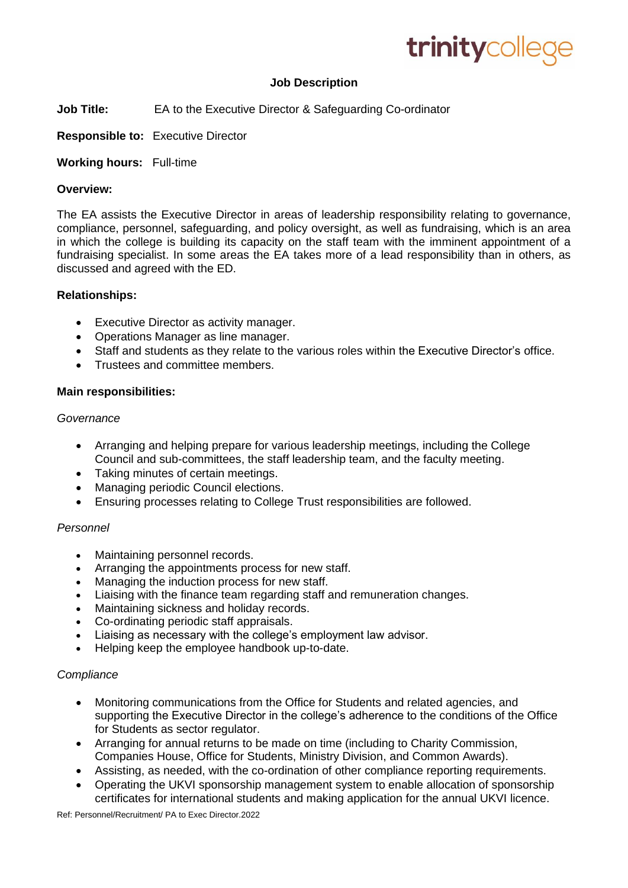

# **Job Description**

- **Job Title:** EA to the Executive Director & Safeguarding Co-ordinator
- **Responsible to:** Executive Director

**Working hours:** Full-time

#### **Overview:**

The EA assists the Executive Director in areas of leadership responsibility relating to governance, compliance, personnel, safeguarding, and policy oversight, as well as fundraising, which is an area in which the college is building its capacity on the staff team with the imminent appointment of a fundraising specialist. In some areas the EA takes more of a lead responsibility than in others, as discussed and agreed with the ED.

#### **Relationships:**

- Executive Director as activity manager.
- Operations Manager as line manager.
- Staff and students as they relate to the various roles within the Executive Director's office.
- Trustees and committee members.

#### **Main responsibilities:**

#### *Governance*

- Arranging and helping prepare for various leadership meetings, including the College Council and sub-committees, the staff leadership team, and the faculty meeting.
- Taking minutes of certain meetings.
- Managing periodic Council elections.
- Ensuring processes relating to College Trust responsibilities are followed.

#### *Personnel*

- Maintaining personnel records.
- Arranging the appointments process for new staff.
- Managing the induction process for new staff.
- Liaising with the finance team regarding staff and remuneration changes.
- Maintaining sickness and holiday records.
- Co-ordinating periodic staff appraisals.
- Liaising as necessary with the college's employment law advisor.
- Helping keep the employee handbook up-to-date.

# *Compliance*

- Monitoring communications from the Office for Students and related agencies, and supporting the Executive Director in the college's adherence to the conditions of the Office for Students as sector regulator.
- Arranging for annual returns to be made on time (including to Charity Commission, Companies House, Office for Students, Ministry Division, and Common Awards).
- Assisting, as needed, with the co-ordination of other compliance reporting requirements.
- Operating the UKVI sponsorship management system to enable allocation of sponsorship certificates for international students and making application for the annual UKVI licence.